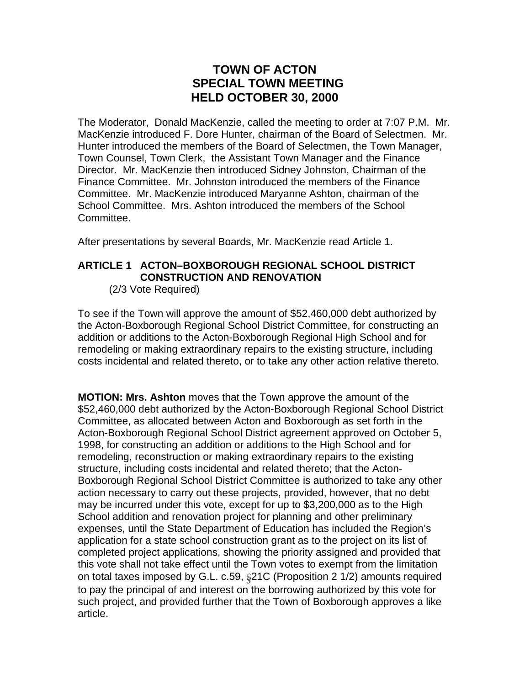## **TOWN OF ACTON SPECIAL TOWN MEETING HELD OCTOBER 30, 2000**

The Moderator, Donald MacKenzie, called the meeting to order at 7:07 P.M. Mr. MacKenzie introduced F. Dore Hunter, chairman of the Board of Selectmen. Mr. Hunter introduced the members of the Board of Selectmen, the Town Manager, Town Counsel, Town Clerk, the Assistant Town Manager and the Finance Director. Mr. MacKenzie then introduced Sidney Johnston, Chairman of the Finance Committee. Mr. Johnston introduced the members of the Finance Committee. Mr. MacKenzie introduced Maryanne Ashton, chairman of the School Committee. Mrs. Ashton introduced the members of the School Committee.

After presentations by several Boards, Mr. MacKenzie read Article 1.

## **ARTICLE 1 ACTON–BOXBOROUGH REGIONAL SCHOOL DISTRICT CONSTRUCTION AND RENOVATION**

(2/3 Vote Required)

To see if the Town will approve the amount of \$52,460,000 debt authorized by the Acton-Boxborough Regional School District Committee, for constructing an addition or additions to the Acton-Boxborough Regional High School and for remodeling or making extraordinary repairs to the existing structure, including costs incidental and related thereto, or to take any other action relative thereto.

**MOTION: Mrs. Ashton** moves that the Town approve the amount of the \$52,460,000 debt authorized by the Acton-Boxborough Regional School District Committee, as allocated between Acton and Boxborough as set forth in the Acton-Boxborough Regional School District agreement approved on October 5, 1998, for constructing an addition or additions to the High School and for remodeling, reconstruction or making extraordinary repairs to the existing structure, including costs incidental and related thereto; that the Acton-Boxborough Regional School District Committee is authorized to take any other action necessary to carry out these projects, provided, however, that no debt may be incurred under this vote, except for up to \$3,200,000 as to the High School addition and renovation project for planning and other preliminary expenses, until the State Department of Education has included the Region's application for a state school construction grant as to the project on its list of completed project applications, showing the priority assigned and provided that this vote shall not take effect until the Town votes to exempt from the limitation on total taxes imposed by G.L. c.59, §21C (Proposition 2 1/2) amounts required to pay the principal of and interest on the borrowing authorized by this vote for such project, and provided further that the Town of Boxborough approves a like article.